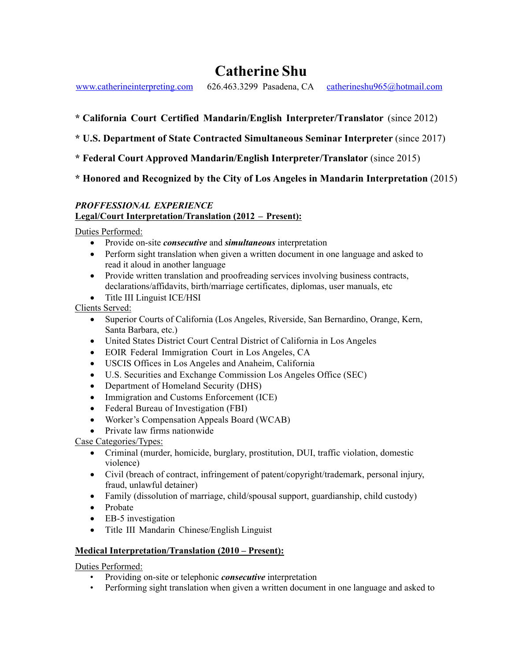# **Catherine Shu**

www.catherineinterpreting.com 626.463.3299 Pasadena, CA catherineshu965@hotmail.com

- **\* California Court Certified Mandarin/English Interpreter/Translator** (since 2012)
- **\* U.S. Department of State Contracted Simultaneous Seminar Interpreter** (since 2017)
- **\* Federal Court Approved Mandarin/English Interpreter/Translator** (since 2015)

## **\* Honored and Recognized by the City of Los Angeles in Mandarin Interpretation** (2015)

#### *PROFFESSIONAL EXPERIENCE*  **Legal/Court Interpretation/Translation (2012 – Present):**

Duties Performed:

- Provide on-site *consecutive* and *simultaneous* interpretation
- Perform sight translation when given a written document in one language and asked to read it aloud in another language
- Provide written translation and proofreading services involving business contracts, declarations/affidavits, birth/marriage certificates, diplomas, user manuals, etc
- Title III Linguist ICE/HSI

Clients Served:

- Superior Courts of California (Los Angeles, Riverside, San Bernardino, Orange, Kern, Santa Barbara, etc.)
- United States District Court Central District of California in Los Angeles
- EOIR Federal Immigration Court in Los Angeles, CA
- USCIS Offices in Los Angeles and Anaheim, California
- U.S. Securities and Exchange Commission Los Angeles Office (SEC)
- Department of Homeland Security (DHS)
- Immigration and Customs Enforcement (ICE)
- Federal Bureau of Investigation (FBI)
- Worker's Compensation Appeals Board (WCAB)
- Private law firms nationwide

### Case Categories/Types:

- Criminal (murder, homicide, burglary, prostitution, DUI, traffic violation, domestic violence)
- Civil (breach of contract, infringement of patent/copyright/trademark, personal injury, fraud, unlawful detainer)
- Family (dissolution of marriage, child/spousal support, guardianship, child custody)
- Probate
- EB-5 investigation
- Title III Mandarin Chinese/English Linguist

### **Medical Interpretation/Translation (2010 – Present):**

Duties Performed:

- Providing on-site or telephonic *consecutive* interpretation
- Performing sight translation when given a written document in one language and asked to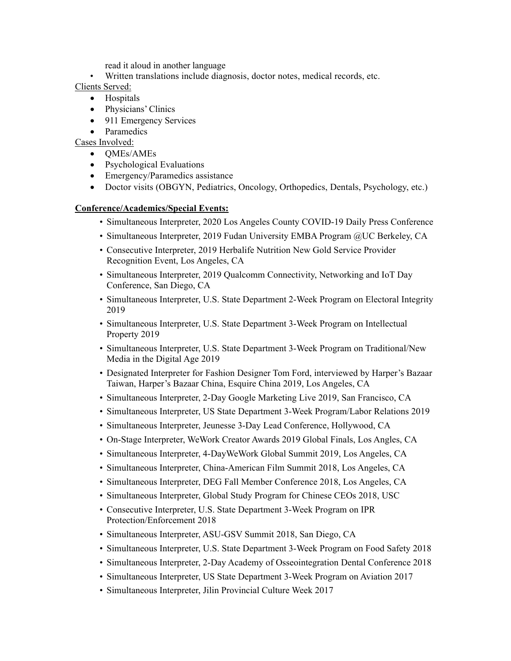read it aloud in another language

- Written translations include diagnosis, doctor notes, medical records, etc.
- Clients Served:
	- Hospitals
	- Physicians' Clinics
	- 911 Emergency Services
	- Paramedics

Cases Involved:

- QMEs/AMEs
- Psychological Evaluations
- Emergency/Paramedics assistance
- Doctor visits (OBGYN, Pediatrics, Oncology, Orthopedics, Dentals, Psychology, etc.)

#### **Conference/Academics/Special Events:**

- Simultaneous Interpreter, 2020 Los Angeles County COVID-19 Daily Press Conference
- Simultaneous Interpreter, 2019 Fudan University EMBA Program @UC Berkeley, CA
- Consecutive Interpreter, 2019 Herbalife Nutrition New Gold Service Provider Recognition Event, Los Angeles, CA
- Simultaneous Interpreter, 2019 Qualcomm Connectivity, Networking and IoT Day Conference, San Diego, CA
- Simultaneous Interpreter, U.S. State Department 2-Week Program on Electoral Integrity 2019
- Simultaneous Interpreter, U.S. State Department 3-Week Program on Intellectual Property 2019
- Simultaneous Interpreter, U.S. State Department 3-Week Program on Traditional/New Media in the Digital Age 2019
- Designated Interpreter for Fashion Designer Tom Ford, interviewed by Harper's Bazaar Taiwan, Harper's Bazaar China, Esquire China 2019, Los Angeles, CA
- Simultaneous Interpreter, 2-Day Google Marketing Live 2019, San Francisco, CA
- Simultaneous Interpreter, US State Department 3-Week Program/Labor Relations 2019
- Simultaneous Interpreter, Jeunesse 3-Day Lead Conference, Hollywood, CA
- On-Stage Interpreter, WeWork Creator Awards 2019 Global Finals, Los Angles, CA
- Simultaneous Interpreter, 4-DayWeWork Global Summit 2019, Los Angeles, CA
- Simultaneous Interpreter, China-American Film Summit 2018, Los Angeles, CA
- Simultaneous Interpreter, DEG Fall Member Conference 2018, Los Angeles, CA
- Simultaneous Interpreter, Global Study Program for Chinese CEOs 2018, USC
- Consecutive Interpreter, U.S. State Department 3-Week Program on IPR Protection/Enforcement 2018
- Simultaneous Interpreter, ASU-GSV Summit 2018, San Diego, CA
- Simultaneous Interpreter, U.S. State Department 3-Week Program on Food Safety 2018
- Simultaneous Interpreter, 2-Day Academy of Osseointegration Dental Conference 2018
- Simultaneous Interpreter, US State Department 3-Week Program on Aviation 2017
- Simultaneous Interpreter, Jilin Provincial Culture Week 2017